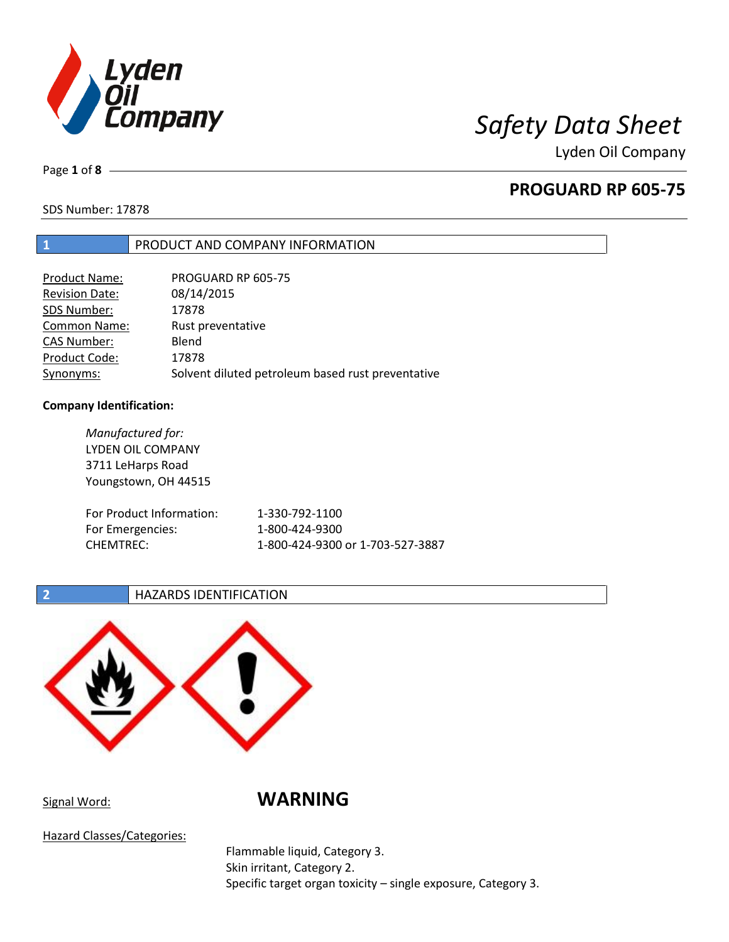

Page **1** of **8**

# **PROGUARD RP 605-75**

SDS Number: 17878

## **1** PRODUCT AND COMPANY INFORMATION

| Product Name:         | PROGUARD RP 605-75                                |
|-----------------------|---------------------------------------------------|
| <b>Revision Date:</b> | 08/14/2015                                        |
| SDS Number:           | 17878                                             |
| <b>Common Name:</b>   | Rust preventative                                 |
| <b>CAS Number:</b>    | Blend                                             |
| Product Code:         | 17878                                             |
| Synonyms:             | Solvent diluted petroleum based rust preventative |

### **Company Identification:**

| Manufactured for:        |                                  |
|--------------------------|----------------------------------|
| LYDEN OIL COMPANY        |                                  |
| 3711 LeHarps Road        |                                  |
| Youngstown, OH 44515     |                                  |
|                          |                                  |
| For Product Information: | 1-330-792-1100                   |
| For Emergencies:         | 1-800-424-9300                   |
| <b>CHEMTREC:</b>         | 1-800-424-9300 or 1-703-527-3887 |
|                          |                                  |

## **2 HAZARDS IDENTIFICATION**



## Signal Word: **WARNING**

Hazard Classes/Categories:

Flammable liquid, Category 3. Skin irritant, Category 2. Specific target organ toxicity – single exposure, Category 3.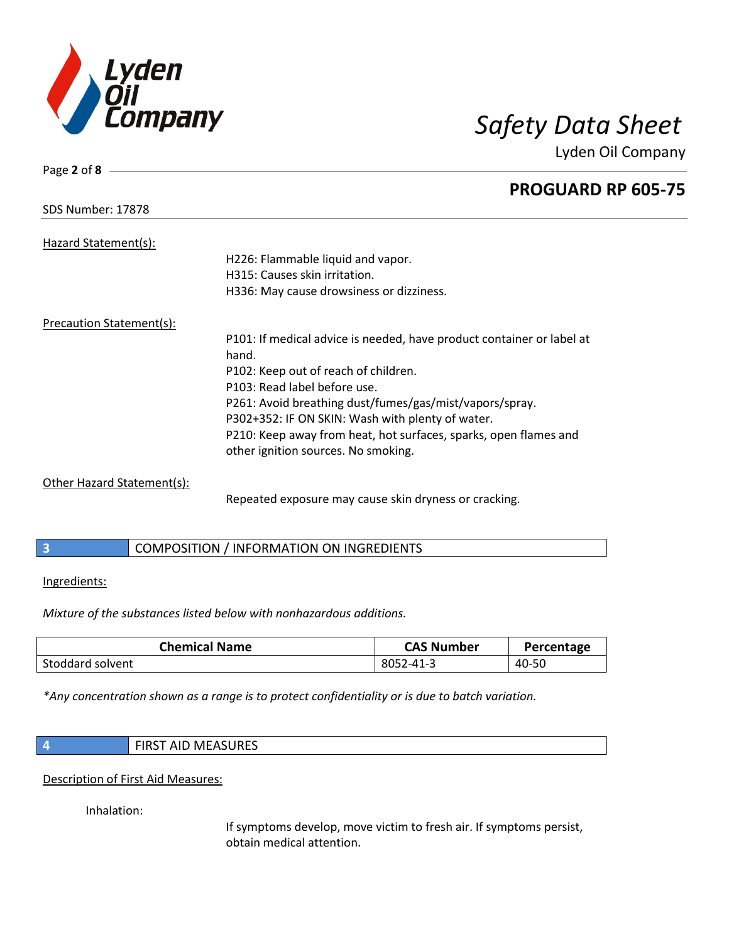

Page **2** of **8**

Lyden Oil Company

# **PROGUARD RP 605-75** SDS Number: 17878 Hazard Statement(s): H226: Flammable liquid and vapor. H315: Causes skin irritation. H336: May cause drowsiness or dizziness. Precaution Statement(s): P101: If medical advice is needed, have product container or label at hand. P102: Keep out of reach of children. P103: Read label before use. P261: Avoid breathing dust/fumes/gas/mist/vapors/spray. P302+352: IF ON SKIN: Wash with plenty of water. P210: Keep away from heat, hot surfaces, sparks, open flames and other ignition sources. No smoking. Other Hazard Statement(s):

Repeated exposure may cause skin dryness or cracking.

## **3** COMPOSITION / INFORMATION ON INGREDIENTS

### Ingredients:

*Mixture of the substances listed below with nonhazardous additions.*

| <b>Chemical Name</b> | <b>CAS Number</b> | Percentage |
|----------------------|-------------------|------------|
| Stoddard solvent     | 8052-41-3         | 40-50      |

*\*Any concentration shown as a range is to protect confidentiality or is due to batch variation.*

| <b>AID MEASURES</b><br>י וכחו־ |
|--------------------------------|
|                                |

Description of First Aid Measures:

Inhalation:

If symptoms develop, move victim to fresh air. If symptoms persist, obtain medical attention.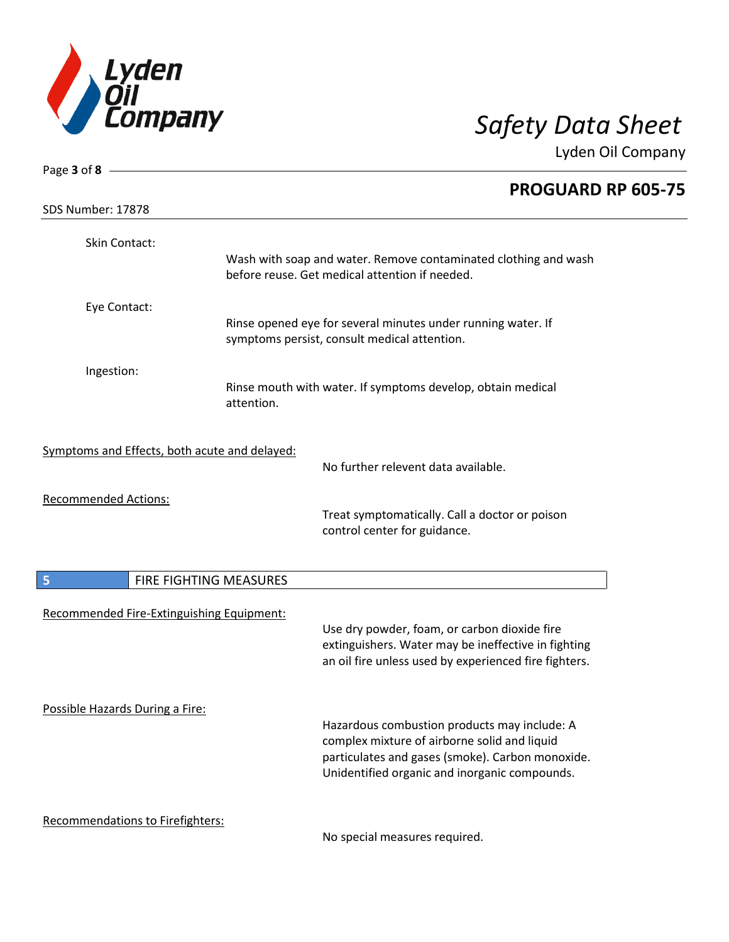

| Page $3$ of $8$ -                             |                                                                                                                                                                                                   |  |  |
|-----------------------------------------------|---------------------------------------------------------------------------------------------------------------------------------------------------------------------------------------------------|--|--|
| SDS Number: 17878                             | PROGUARD RP 605-75                                                                                                                                                                                |  |  |
| Skin Contact:                                 | Wash with soap and water. Remove contaminated clothing and wash<br>before reuse. Get medical attention if needed.                                                                                 |  |  |
| Eye Contact:                                  | Rinse opened eye for several minutes under running water. If<br>symptoms persist, consult medical attention.                                                                                      |  |  |
| Ingestion:                                    | Rinse mouth with water. If symptoms develop, obtain medical<br>attention.                                                                                                                         |  |  |
| Symptoms and Effects, both acute and delayed: | No further relevent data available.                                                                                                                                                               |  |  |
| <b>Recommended Actions:</b>                   | Treat symptomatically. Call a doctor or poison<br>control center for guidance.                                                                                                                    |  |  |
| 5                                             | FIRE FIGHTING MEASURES                                                                                                                                                                            |  |  |
| Recommended Fire-Extinguishing Equipment:     | Use dry powder, foam, or carbon dioxide fire<br>extinguishers. Water may be ineffective in fighting<br>an oil fire unless used by experienced fire fighters.                                      |  |  |
| Possible Hazards During a Fire:               | Hazardous combustion products may include: A<br>complex mixture of airborne solid and liquid<br>particulates and gases (smoke). Carbon monoxide.<br>Unidentified organic and inorganic compounds. |  |  |
| <b>Recommendations to Firefighters:</b>       | No special measures required.                                                                                                                                                                     |  |  |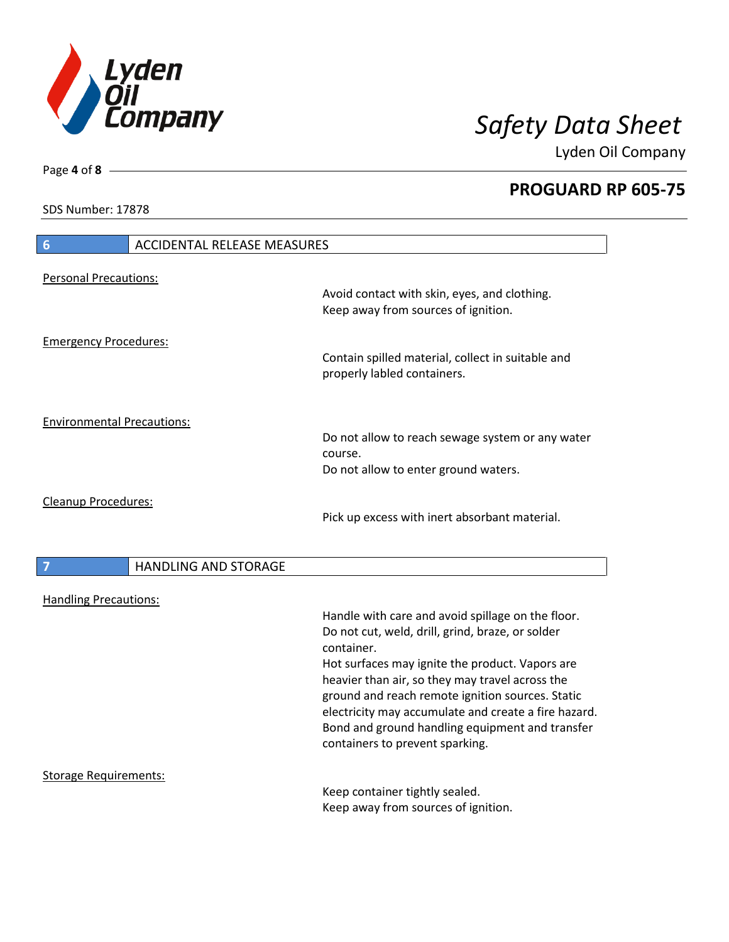

**PROGUARD RP 605-75**

SDS Number: 17878

Page **4** of **8**

| <b>ACCIDENTAL RELEASE MEASURES</b><br>$6\phantom{1}6$ |                                                                                                                                                                                                                                                                                                                                                                                                                             |
|-------------------------------------------------------|-----------------------------------------------------------------------------------------------------------------------------------------------------------------------------------------------------------------------------------------------------------------------------------------------------------------------------------------------------------------------------------------------------------------------------|
| <b>Personal Precautions:</b>                          |                                                                                                                                                                                                                                                                                                                                                                                                                             |
|                                                       | Avoid contact with skin, eyes, and clothing.<br>Keep away from sources of ignition.                                                                                                                                                                                                                                                                                                                                         |
| <b>Emergency Procedures:</b>                          | Contain spilled material, collect in suitable and<br>properly labled containers.                                                                                                                                                                                                                                                                                                                                            |
| <b>Environmental Precautions:</b>                     |                                                                                                                                                                                                                                                                                                                                                                                                                             |
|                                                       | Do not allow to reach sewage system or any water<br>course.<br>Do not allow to enter ground waters.                                                                                                                                                                                                                                                                                                                         |
| Cleanup Procedures:                                   | Pick up excess with inert absorbant material.                                                                                                                                                                                                                                                                                                                                                                               |
| <b>HANDLING AND STORAGE</b><br>7                      |                                                                                                                                                                                                                                                                                                                                                                                                                             |
| <b>Handling Precautions:</b>                          | Handle with care and avoid spillage on the floor.<br>Do not cut, weld, drill, grind, braze, or solder<br>container.<br>Hot surfaces may ignite the product. Vapors are<br>heavier than air, so they may travel across the<br>ground and reach remote ignition sources. Static<br>electricity may accumulate and create a fire hazard.<br>Bond and ground handling equipment and transfer<br>containers to prevent sparking. |
| <b>Storage Requirements:</b>                          | Keep container tightly sealed.<br>Keep away from sources of ignition.                                                                                                                                                                                                                                                                                                                                                       |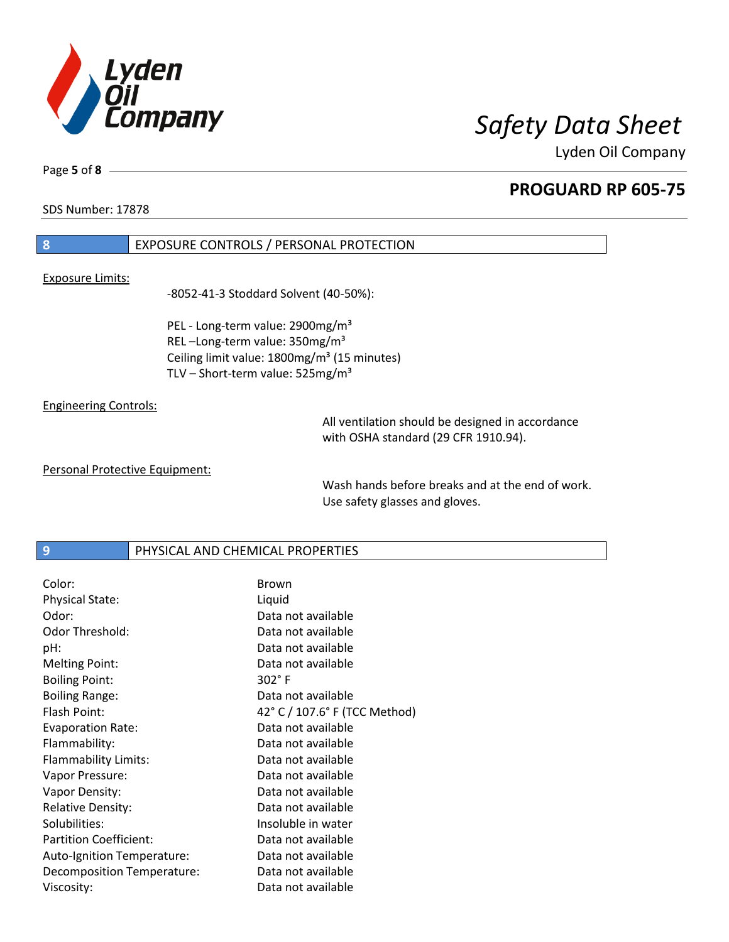

**PROGUARD RP 605-75**

SDS Number: 17878

Page **5** of **8**

## **8** EXPOSURE CONTROLS / PERSONAL PROTECTION

### Exposure Limits:

-8052-41-3 Stoddard Solvent (40-50%):

PEL - Long-term value: 2900mg/m<sup>3</sup> REL-Long-term value: 350mg/m<sup>3</sup> Ceiling limit value: 1800mg/m<sup>3</sup> (15 minutes) TLV – Short-term value:  $525mg/m<sup>3</sup>$ 

Engineering Controls:

All ventilation should be designed in accordance with OSHA standard (29 CFR 1910.94).

Personal Protective Equipment:

Wash hands before breaks and at the end of work. Use safety glasses and gloves.

## **9** PHYSICAL AND CHEMICAL PROPERTIES

| Color:                        | <b>Brown</b>                  |
|-------------------------------|-------------------------------|
| <b>Physical State:</b>        | Liquid                        |
| Odor:                         | Data not available            |
| Odor Threshold:               | Data not available            |
| pH:                           | Data not available            |
| <b>Melting Point:</b>         | Data not available            |
| <b>Boiling Point:</b>         | $302^\circ$ F                 |
| <b>Boiling Range:</b>         | Data not available            |
| Flash Point:                  | 42° C / 107.6° F (TCC Method) |
| <b>Evaporation Rate:</b>      | Data not available            |
| Flammability:                 | Data not available            |
| Flammability Limits:          | Data not available            |
| Vapor Pressure:               | Data not available            |
| Vapor Density:                | Data not available            |
| <b>Relative Density:</b>      | Data not available            |
| Solubilities:                 | Insoluble in water            |
| <b>Partition Coefficient:</b> | Data not available            |
| Auto-Ignition Temperature:    | Data not available            |
| Decomposition Temperature:    | Data not available            |
| Viscosity:                    | Data not available            |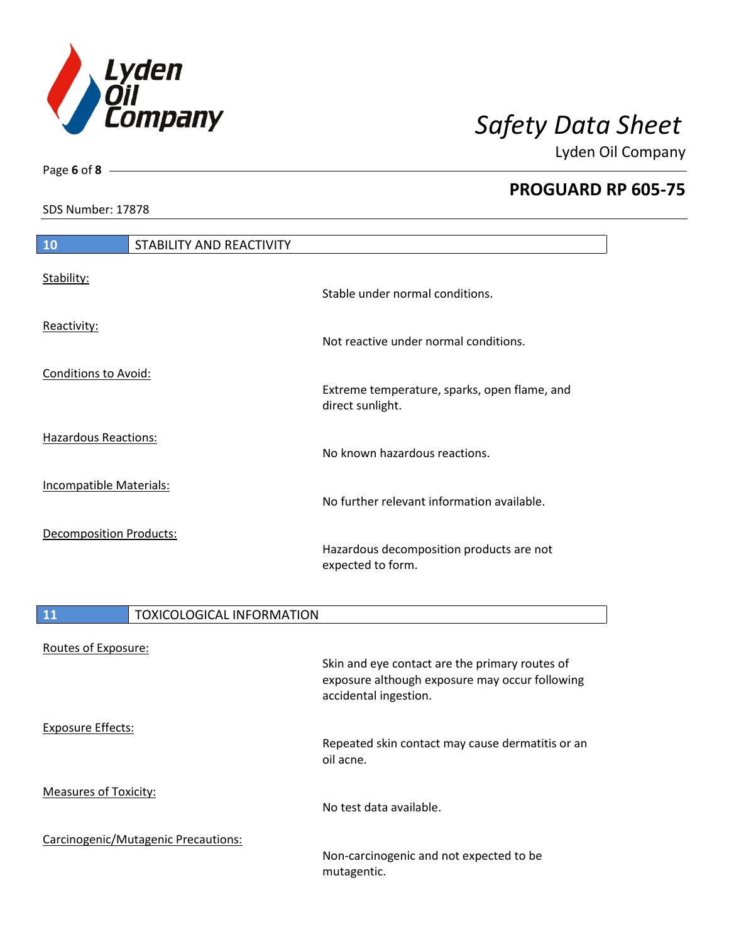

**PROGUARD RP 605-75**

SDS Number: 17878

Page **6** of **8**

| <b>10</b>                      | STABILITY AND REACTIVITY |                                                                  |
|--------------------------------|--------------------------|------------------------------------------------------------------|
| Stability:                     |                          | Stable under normal conditions.                                  |
| Reactivity:                    |                          | Not reactive under normal conditions.                            |
| <b>Conditions to Avoid:</b>    |                          | Extreme temperature, sparks, open flame, and<br>direct sunlight. |
| <b>Hazardous Reactions:</b>    |                          | No known hazardous reactions.                                    |
| <b>Incompatible Materials:</b> |                          | No further relevant information available.                       |
| <b>Decomposition Products:</b> |                          | Hazardous decomposition products are not<br>expected to form.    |

| <b>11</b>                    | <b>TOXICOLOGICAL INFORMATION</b>    |                                                                                                                           |
|------------------------------|-------------------------------------|---------------------------------------------------------------------------------------------------------------------------|
| Routes of Exposure:          |                                     | Skin and eye contact are the primary routes of<br>exposure although exposure may occur following<br>accidental ingestion. |
| <b>Exposure Effects:</b>     |                                     | Repeated skin contact may cause dermatitis or an<br>oil acne.                                                             |
| <b>Measures of Toxicity:</b> |                                     | No test data available.                                                                                                   |
|                              | Carcinogenic/Mutagenic Precautions: | Non-carcinogenic and not expected to be<br>mutagentic.                                                                    |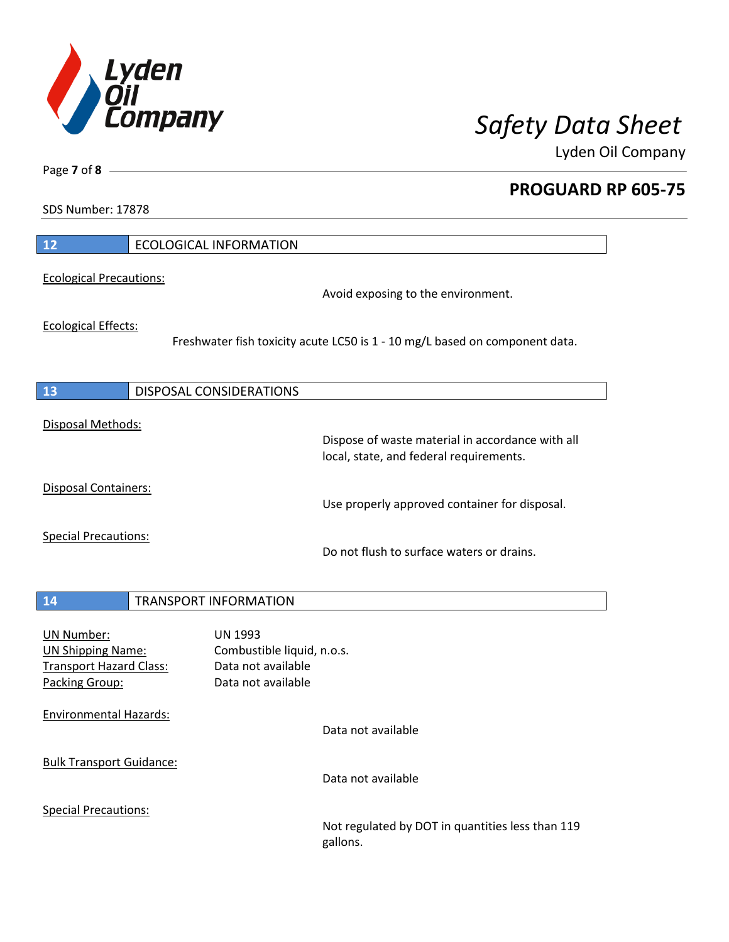

**PROGUARD RP 605-75**

SDS Number: 17878

Page **7** of **8**

| 12                                                                                                | <b>ECOLOGICAL INFORMATION</b>                                                            |                                                                                             |
|---------------------------------------------------------------------------------------------------|------------------------------------------------------------------------------------------|---------------------------------------------------------------------------------------------|
| <b>Ecological Precautions:</b>                                                                    |                                                                                          | Avoid exposing to the environment.                                                          |
| <b>Ecological Effects:</b>                                                                        |                                                                                          | Freshwater fish toxicity acute LC50 is 1 - 10 mg/L based on component data.                 |
| 13                                                                                                | <b>DISPOSAL CONSIDERATIONS</b>                                                           |                                                                                             |
| Disposal Methods:                                                                                 |                                                                                          | Dispose of waste material in accordance with all<br>local, state, and federal requirements. |
| <b>Disposal Containers:</b>                                                                       |                                                                                          | Use properly approved container for disposal.                                               |
| <b>Special Precautions:</b>                                                                       |                                                                                          | Do not flush to surface waters or drains.                                                   |
| 14                                                                                                | <b>TRANSPORT INFORMATION</b>                                                             |                                                                                             |
| <b>UN Number:</b><br><b>UN Shipping Name:</b><br><b>Transport Hazard Class:</b><br>Packing Group: | <b>UN 1993</b><br>Combustible liquid, n.o.s.<br>Data not available<br>Data not available |                                                                                             |
| <b>Environmental Hazards:</b>                                                                     |                                                                                          | Data not available                                                                          |
| <b>Bulk Transport Guidance:</b>                                                                   |                                                                                          | Data not available                                                                          |
| <b>Special Precautions:</b>                                                                       |                                                                                          | Not regulated by DOT in quantities less than 119<br>gallons.                                |